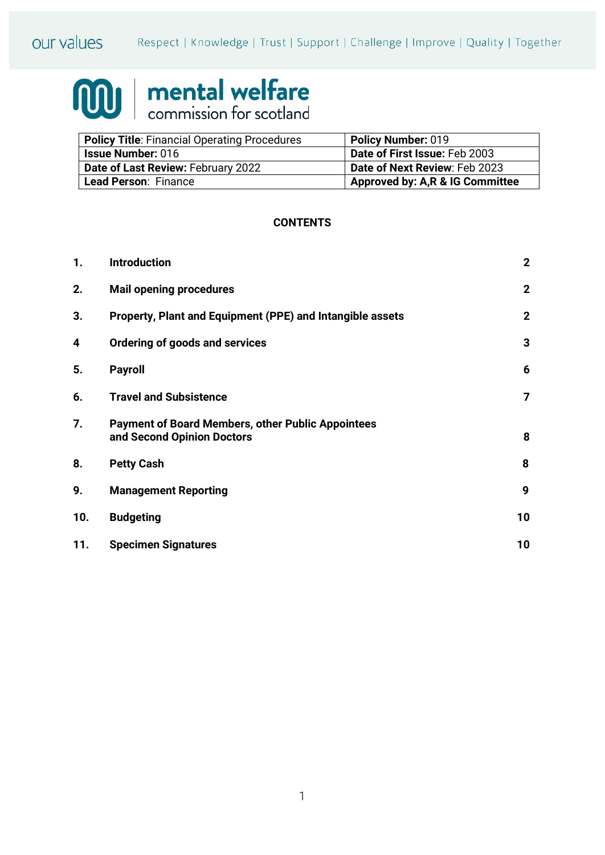

# **100 mental welfare**

| <b>Policy Title: Financial Operating Procedures</b> | Policy Number: 019               |
|-----------------------------------------------------|----------------------------------|
| <b>Issue Number: 016</b>                            | Date of First Issue: Feb 2003    |
| Date of Last Review: February 2022                  | Date of Next Review: Feb 2023    |
| Lead Person: Finance                                | Approved by: A, R & IG Committee |

## **CONTENTS**

| 1.  | <b>Introduction</b>                                                                    | $\mathbf{2}$   |
|-----|----------------------------------------------------------------------------------------|----------------|
| 2.  | <b>Mail opening procedures</b>                                                         | $\mathbf{2}$   |
| 3.  | Property, Plant and Equipment (PPE) and Intangible assets                              | $\mathbf{2}$   |
| 4   | Ordering of goods and services                                                         | 3              |
| 5.  | <b>Payroll</b>                                                                         | 6              |
| 6.  | <b>Travel and Subsistence</b>                                                          | $\overline{7}$ |
| 7.  | <b>Payment of Board Members, other Public Appointees</b><br>and Second Opinion Doctors | 8              |
| 8.  | <b>Petty Cash</b>                                                                      | 8              |
| 9.  | <b>Management Reporting</b>                                                            | 9              |
| 10. | <b>Budgeting</b>                                                                       | 10             |
| 11. | <b>Specimen Signatures</b>                                                             | 10             |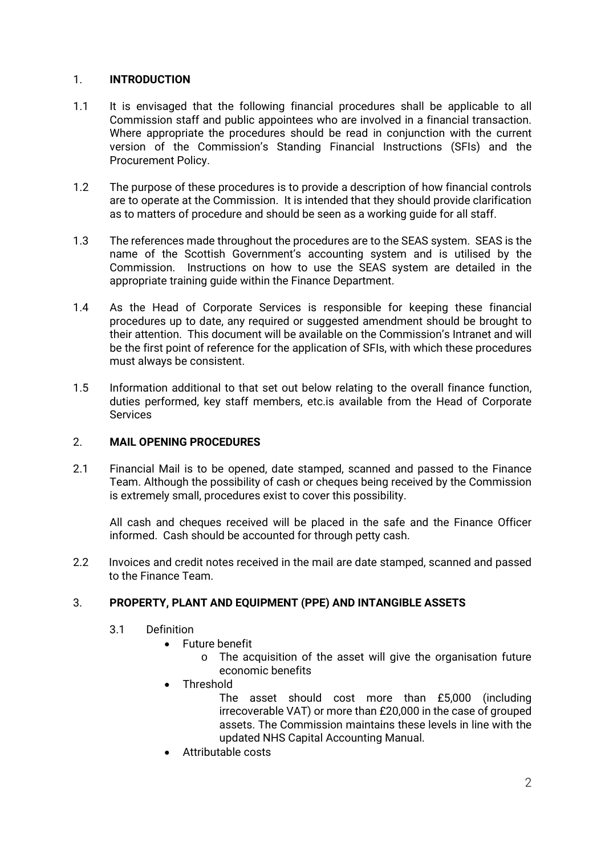## 1. **INTRODUCTION**

- 1.1 It is envisaged that the following financial procedures shall be applicable to all Commission staff and public appointees who are involved in a financial transaction. Where appropriate the procedures should be read in conjunction with the current version of the Commission's Standing Financial Instructions (SFIs) and the Procurement Policy.
- 1.2 The purpose of these procedures is to provide a description of how financial controls are to operate at the Commission. It is intended that they should provide clarification as to matters of procedure and should be seen as a working guide for all staff.
- 1.3 The references made throughout the procedures are to the SEAS system. SEAS is the name of the Scottish Government's accounting system and is utilised by the Commission. Instructions on how to use the SEAS system are detailed in the appropriate training guide within the Finance Department.
- 1.4 As the Head of Corporate Services is responsible for keeping these financial procedures up to date, any required or suggested amendment should be brought to their attention. This document will be available on the Commission's Intranet and will be the first point of reference for the application of SFIs, with which these procedures must always be consistent.
- 1.5 Information additional to that set out below relating to the overall finance function, duties performed, key staff members, etc.is available from the Head of Corporate **Services**

# 2. **MAIL OPENING PROCEDURES**

2.1 Financial Mail is to be opened, date stamped, scanned and passed to the Finance Team. Although the possibility of cash or cheques being received by the Commission is extremely small, procedures exist to cover this possibility.

All cash and cheques received will be placed in the safe and the Finance Officer informed. Cash should be accounted for through petty cash.

2.2 Invoices and credit notes received in the mail are date stamped, scanned and passed to the Finance Team.

# 3. **PROPERTY, PLANT AND EQUIPMENT (PPE) AND INTANGIBLE ASSETS**

- 3.1 Definition
	- Future benefit
		- o The acquisition of the asset will give the organisation future economic benefits
	- Threshold
		- The asset should cost more than £5,000 (including irrecoverable VAT) or more than £20,000 in the case of grouped assets. The Commission maintains these levels in line with the updated NHS Capital Accounting Manual.
	- Attributable costs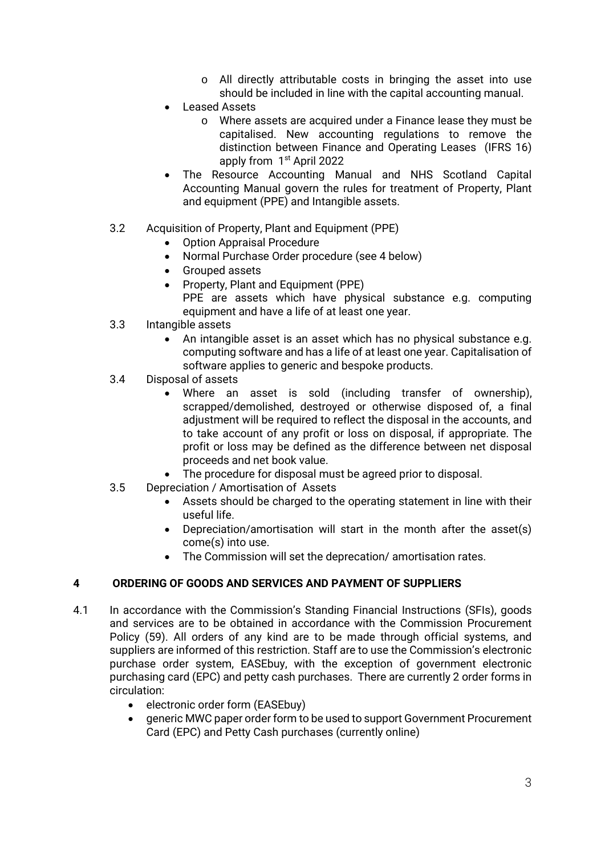- o All directly attributable costs in bringing the asset into use should be included in line with the capital accounting manual.
- Leased Assets
	- o Where assets are acquired under a Finance lease they must be capitalised. New accounting regulations to remove the distinction between Finance and Operating Leases (IFRS 16) apply from 1<sup>st</sup> April 2022
- The Resource Accounting Manual and NHS Scotland Capital Accounting Manual govern the rules for treatment of Property, Plant and equipment (PPE) and Intangible assets.
- 3.2 Acquisition of Property, Plant and Equipment (PPE)
	- Option Appraisal Procedure
	- Normal Purchase Order procedure (see 4 below)
	- Grouped assets
	- Property, Plant and Equipment (PPE)
	- PPE are assets which have physical substance e.g. computing equipment and have a life of at least one year.
- 3.3 Intangible assets
	- An intangible asset is an asset which has no physical substance e.g. computing software and has a life of at least one year. Capitalisation of software applies to generic and bespoke products.
- 3.4 Disposal of assets
	- Where an asset is sold (including transfer of ownership), scrapped/demolished, destroyed or otherwise disposed of, a final adjustment will be required to reflect the disposal in the accounts, and to take account of any profit or loss on disposal, if appropriate. The profit or loss may be defined as the difference between net disposal proceeds and net book value.
	- The procedure for disposal must be agreed prior to disposal.
- 3.5 Depreciation / Amortisation of Assets
	- Assets should be charged to the operating statement in line with their useful life.
	- Depreciation/amortisation will start in the month after the asset(s) come(s) into use.
	- The Commission will set the deprecation/ amortisation rates.

# **4 ORDERING OF GOODS AND SERVICES AND PAYMENT OF SUPPLIERS**

- 4.1 In accordance with the Commission's Standing Financial Instructions (SFIs), goods and services are to be obtained in accordance with the Commission Procurement Policy (59). All orders of any kind are to be made through official systems, and suppliers are informed of this restriction. Staff are to use the Commission's electronic purchase order system, EASEbuy, with the exception of government electronic purchasing card (EPC) and petty cash purchases. There are currently 2 order forms in circulation:
	- electronic order form (EASEbuy)
	- generic MWC paper order form to be used to support Government Procurement Card (EPC) and Petty Cash purchases (currently online)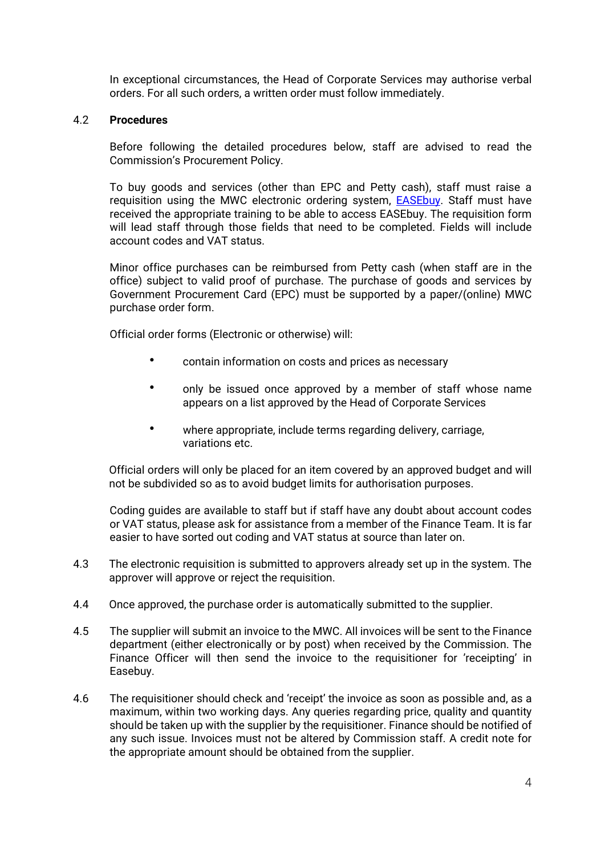In exceptional circumstances, the Head of Corporate Services may authorise verbal orders. For all such orders, a written order must follow immediately.

#### 4.2 **Procedures**

Before following the detailed procedures below, staff are advised to read the Commission's Procurement Policy.

To buy goods and services (other than EPC and Petty cash), staff must raise a requisition using the MWC electronic ordering system, [EASEbuy.](http://10.8.128.196/InExec/SEAndMe/Finance-Procurement/EASEbuy-Intranet-site/Intro) Staff must have received the appropriate training to be able to access EASEbuy. The requisition form will lead staff through those fields that need to be completed. Fields will include account codes and VAT status.

Minor office purchases can be reimbursed from Petty cash (when staff are in the office) subject to valid proof of purchase. The purchase of goods and services by Government Procurement Card (EPC) must be supported by a paper/(online) MWC purchase order form.

Official order forms (Electronic or otherwise) will:

- contain information on costs and prices as necessary
- only be issued once approved by a member of staff whose name appears on a list approved by the Head of Corporate Services
- where appropriate, include terms regarding delivery, carriage, variations etc.

Official orders will only be placed for an item covered by an approved budget and will not be subdivided so as to avoid budget limits for authorisation purposes.

Coding guides are available to staff but if staff have any doubt about account codes or VAT status, please ask for assistance from a member of the Finance Team. It is far easier to have sorted out coding and VAT status at source than later on.

- 4.3 The electronic requisition is submitted to approvers already set up in the system. The approver will approve or reject the requisition.
- 4.4 Once approved, the purchase order is automatically submitted to the supplier.
- 4.5 The supplier will submit an invoice to the MWC. All invoices will be sent to the Finance department (either electronically or by post) when received by the Commission. The Finance Officer will then send the invoice to the requisitioner for 'receipting' in Easebuy.
- 4.6 The requisitioner should check and 'receipt' the invoice as soon as possible and, as a maximum, within two working days. Any queries regarding price, quality and quantity should be taken up with the supplier by the requisitioner. Finance should be notified of any such issue. Invoices must not be altered by Commission staff. A credit note for the appropriate amount should be obtained from the supplier.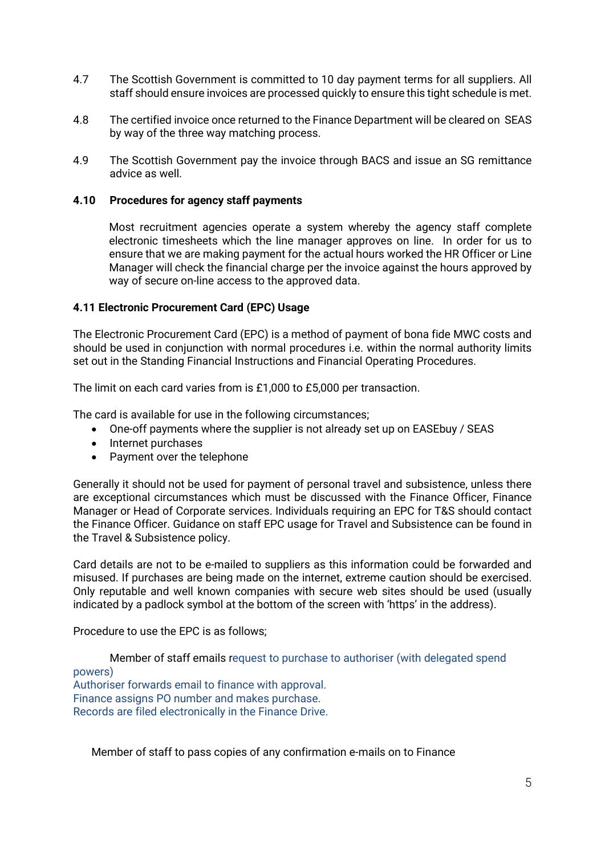- 4.7 The Scottish Government is committed to 10 day payment terms for all suppliers. All staff should ensure invoices are processed quickly to ensure this tight schedule is met.
- 4.8 The certified invoice once returned to the Finance Department will be cleared on SEAS by way of the three way matching process.
- 4.9 The Scottish Government pay the invoice through BACS and issue an SG remittance advice as well.

#### **4.10 Procedures for agency staff payments**

Most recruitment agencies operate a system whereby the agency staff complete electronic timesheets which the line manager approves on line. In order for us to ensure that we are making payment for the actual hours worked the HR Officer or Line Manager will check the financial charge per the invoice against the hours approved by way of secure on-line access to the approved data.

#### **4.11 Electronic Procurement Card (EPC) Usage**

The Electronic Procurement Card (EPC) is a method of payment of bona fide MWC costs and should be used in conjunction with normal procedures i.e. within the normal authority limits set out in the Standing Financial Instructions and Financial Operating Procedures.

The limit on each card varies from is £1,000 to £5,000 per transaction.

The card is available for use in the following circumstances;

- One-off payments where the supplier is not already set up on EASEbuy / SEAS
- Internet purchases
- Payment over the telephone

Generally it should not be used for payment of personal travel and subsistence, unless there are exceptional circumstances which must be discussed with the Finance Officer, Finance Manager or Head of Corporate services. Individuals requiring an EPC for T&S should contact the Finance Officer. Guidance on staff EPC usage for Travel and Subsistence can be found in the Travel & Subsistence policy.

Card details are not to be e-mailed to suppliers as this information could be forwarded and misused. If purchases are being made on the internet, extreme caution should be exercised. Only reputable and well known companies with secure web sites should be used (usually indicated by a padlock symbol at the bottom of the screen with 'https' in the address).

Procedure to use the EPC is as follows;

Member of staff emails request to purchase to authoriser (with delegated spend powers) Authoriser forwards email to finance with approval. Finance assigns PO number and makes purchase. Records are filed electronically in the Finance Drive.

Member of staff to pass copies of any confirmation e-mails on to Finance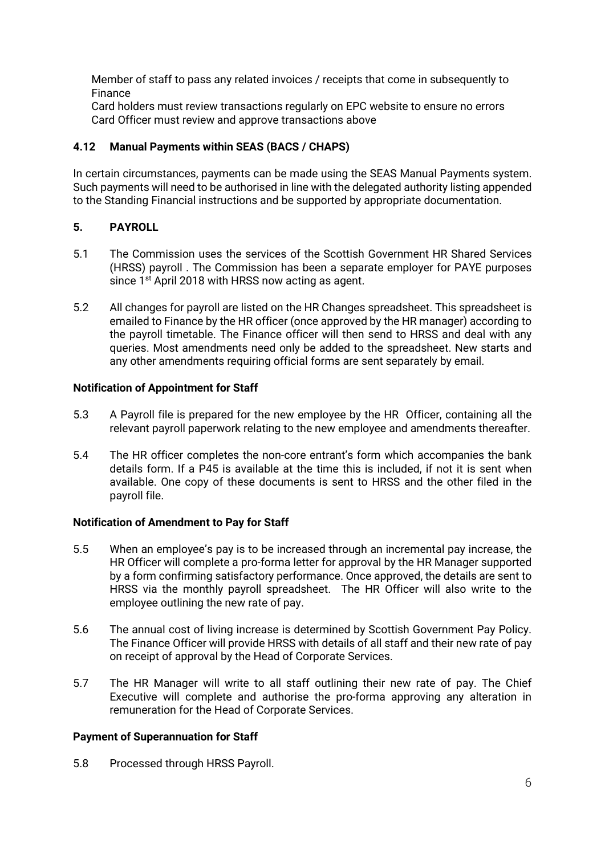Member of staff to pass any related invoices / receipts that come in subsequently to Finance

Card holders must review transactions regularly on EPC website to ensure no errors Card Officer must review and approve transactions above

# **4.12 Manual Payments within SEAS (BACS / CHAPS)**

In certain circumstances, payments can be made using the SEAS Manual Payments system. Such payments will need to be authorised in line with the delegated authority listing appended to the Standing Financial instructions and be supported by appropriate documentation.

# **5. PAYROLL**

- 5.1 The Commission uses the services of the Scottish Government HR Shared Services (HRSS) payroll . The Commission has been a separate employer for PAYE purposes since 1<sup>st</sup> April 2018 with HRSS now acting as agent.
- 5.2 All changes for payroll are listed on the HR Changes spreadsheet. This spreadsheet is emailed to Finance by the HR officer (once approved by the HR manager) according to the payroll timetable. The Finance officer will then send to HRSS and deal with any queries. Most amendments need only be added to the spreadsheet. New starts and any other amendments requiring official forms are sent separately by email.

## **Notification of Appointment for Staff**

- 5.3 A Payroll file is prepared for the new employee by the HR Officer, containing all the relevant payroll paperwork relating to the new employee and amendments thereafter.
- 5.4 The HR officer completes the non-core entrant's form which accompanies the bank details form. If a P45 is available at the time this is included, if not it is sent when available. One copy of these documents is sent to HRSS and the other filed in the payroll file.

#### **Notification of Amendment to Pay for Staff**

- 5.5 When an employee's pay is to be increased through an incremental pay increase, the HR Officer will complete a pro-forma letter for approval by the HR Manager supported by a form confirming satisfactory performance. Once approved, the details are sent to HRSS via the monthly payroll spreadsheet. The HR Officer will also write to the employee outlining the new rate of pay.
- 5.6 The annual cost of living increase is determined by Scottish Government Pay Policy. The Finance Officer will provide HRSS with details of all staff and their new rate of pay on receipt of approval by the Head of Corporate Services.
- 5.7 The HR Manager will write to all staff outlining their new rate of pay. The Chief Executive will complete and authorise the pro-forma approving any alteration in remuneration for the Head of Corporate Services.

#### **Payment of Superannuation for Staff**

5.8 Processed through HRSS Payroll.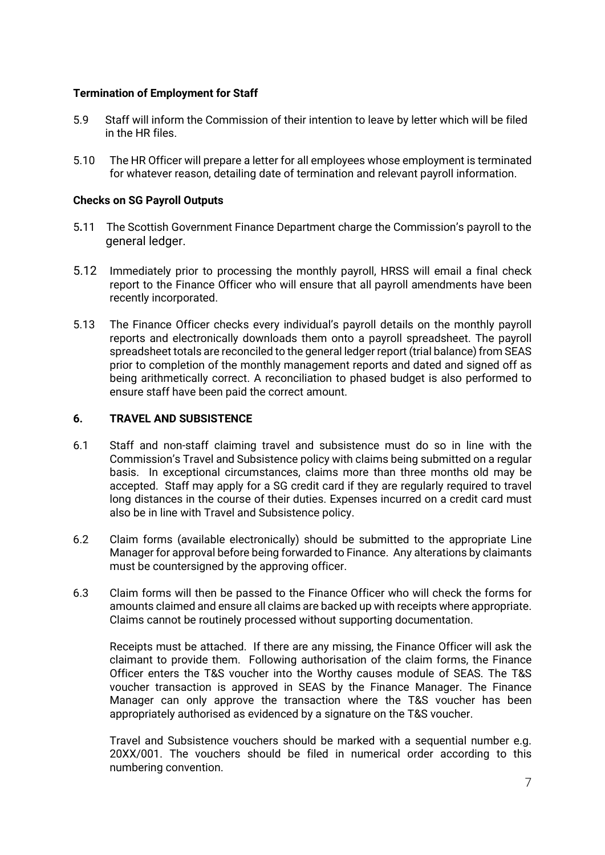## **Termination of Employment for Staff**

- 5.9 Staff will inform the Commission of their intention to leave by letter which will be filed in the HR files.
- 5.10 The HR Officer will prepare a letter for all employees whose employment is terminated for whatever reason, detailing date of termination and relevant payroll information.

#### **Checks on SG Payroll Outputs**

- 5**.**11 The Scottish Government Finance Department charge the Commission's payroll to the general ledger.
- 5.12 Immediately prior to processing the monthly payroll, HRSS will email a final check report to the Finance Officer who will ensure that all payroll amendments have been recently incorporated.
- 5.13 The Finance Officer checks every individual's payroll details on the monthly payroll reports and electronically downloads them onto a payroll spreadsheet. The payroll spreadsheet totals are reconciled to the general ledger report (trial balance) from SEAS prior to completion of the monthly management reports and dated and signed off as being arithmetically correct. A reconciliation to phased budget is also performed to ensure staff have been paid the correct amount.

## **6. TRAVEL AND SUBSISTENCE**

- 6.1 Staff and non-staff claiming travel and subsistence must do so in line with the Commission's Travel and Subsistence policy with claims being submitted on a regular basis. In exceptional circumstances, claims more than three months old may be accepted. Staff may apply for a SG credit card if they are regularly required to travel long distances in the course of their duties. Expenses incurred on a credit card must also be in line with Travel and Subsistence policy.
- 6.2 Claim forms (available electronically) should be submitted to the appropriate Line Manager for approval before being forwarded to Finance. Any alterations by claimants must be countersigned by the approving officer.
- 6.3 Claim forms will then be passed to the Finance Officer who will check the forms for amounts claimed and ensure all claims are backed up with receipts where appropriate. Claims cannot be routinely processed without supporting documentation.

Receipts must be attached. If there are any missing, the Finance Officer will ask the claimant to provide them. Following authorisation of the claim forms, the Finance Officer enters the T&S voucher into the Worthy causes module of SEAS. The T&S voucher transaction is approved in SEAS by the Finance Manager. The Finance Manager can only approve the transaction where the T&S voucher has been appropriately authorised as evidenced by a signature on the T&S voucher.

Travel and Subsistence vouchers should be marked with a sequential number e.g. 20XX/001. The vouchers should be filed in numerical order according to this numbering convention.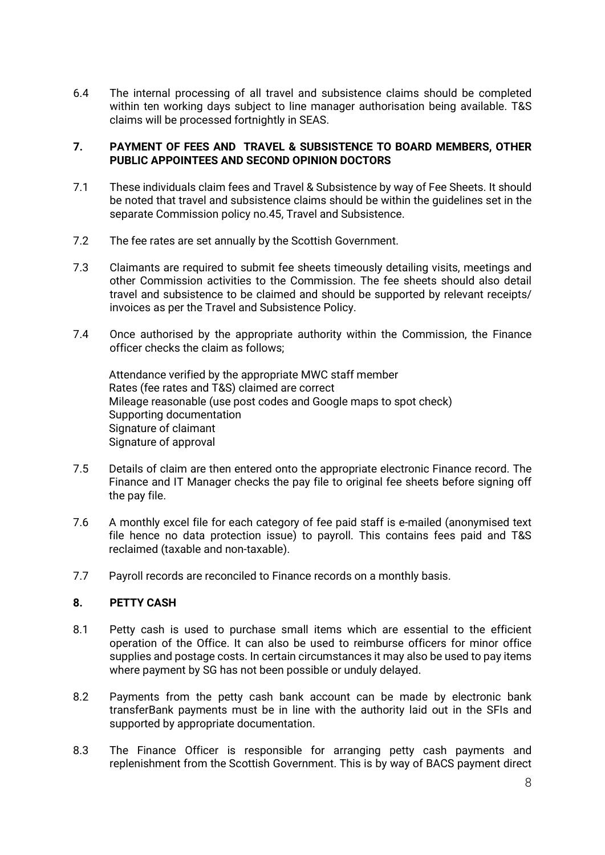6.4 The internal processing of all travel and subsistence claims should be completed within ten working days subject to line manager authorisation being available. T&S claims will be processed fortnightly in SEAS.

## **7. PAYMENT OF FEES AND TRAVEL & SUBSISTENCE TO BOARD MEMBERS, OTHER PUBLIC APPOINTEES AND SECOND OPINION DOCTORS**

- 7.1 These individuals claim fees and Travel & Subsistence by way of Fee Sheets. It should be noted that travel and subsistence claims should be within the guidelines set in the separate Commission policy no.45, Travel and Subsistence.
- 7.2 The fee rates are set annually by the Scottish Government.
- 7.3 Claimants are required to submit fee sheets timeously detailing visits, meetings and other Commission activities to the Commission. The fee sheets should also detail travel and subsistence to be claimed and should be supported by relevant receipts/ invoices as per the Travel and Subsistence Policy.
- 7.4 Once authorised by the appropriate authority within the Commission, the Finance officer checks the claim as follows;

Attendance verified by the appropriate MWC staff member Rates (fee rates and T&S) claimed are correct Mileage reasonable (use post codes and Google maps to spot check) Supporting documentation Signature of claimant Signature of approval

- 7.5 Details of claim are then entered onto the appropriate electronic Finance record. The Finance and IT Manager checks the pay file to original fee sheets before signing off the pay file.
- 7.6 A monthly excel file for each category of fee paid staff is e-mailed (anonymised text file hence no data protection issue) to payroll. This contains fees paid and T&S reclaimed (taxable and non-taxable).
- 7.7 Payroll records are reconciled to Finance records on a monthly basis.

# **8. PETTY CASH**

- 8.1 Petty cash is used to purchase small items which are essential to the efficient operation of the Office. It can also be used to reimburse officers for minor office supplies and postage costs. In certain circumstances it may also be used to pay items where payment by SG has not been possible or unduly delayed.
- 8.2 Payments from the petty cash bank account can be made by electronic bank transferBank payments must be in line with the authority laid out in the SFIs and supported by appropriate documentation.
- 8.3 The Finance Officer is responsible for arranging petty cash payments and replenishment from the Scottish Government. This is by way of BACS payment direct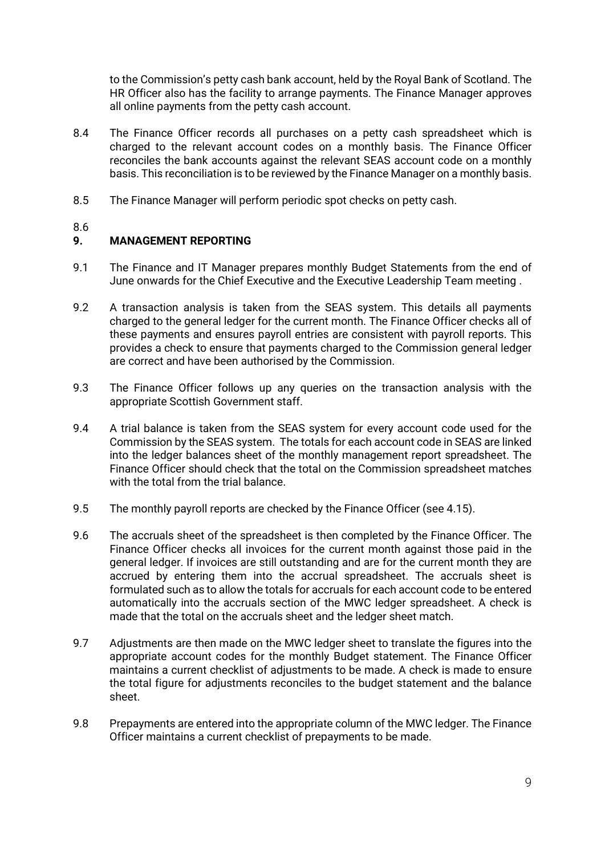to the Commission's petty cash bank account, held by the Royal Bank of Scotland. The HR Officer also has the facility to arrange payments. The Finance Manager approves all online payments from the petty cash account.

- 8.4 The Finance Officer records all purchases on a petty cash spreadsheet which is charged to the relevant account codes on a monthly basis. The Finance Officer reconciles the bank accounts against the relevant SEAS account code on a monthly basis. This reconciliation is to be reviewed by the Finance Manager on a monthly basis.
- 8.5 The Finance Manager will perform periodic spot checks on petty cash.

## 8.6

# **9. MANAGEMENT REPORTING**

- 9.1 The Finance and IT Manager prepares monthly Budget Statements from the end of June onwards for the Chief Executive and the Executive Leadership Team meeting .
- 9.2 A transaction analysis is taken from the SEAS system. This details all payments charged to the general ledger for the current month. The Finance Officer checks all of these payments and ensures payroll entries are consistent with payroll reports. This provides a check to ensure that payments charged to the Commission general ledger are correct and have been authorised by the Commission.
- 9.3 The Finance Officer follows up any queries on the transaction analysis with the appropriate Scottish Government staff.
- 9.4 A trial balance is taken from the SEAS system for every account code used for the Commission by the SEAS system. The totals for each account code in SEAS are linked into the ledger balances sheet of the monthly management report spreadsheet. The Finance Officer should check that the total on the Commission spreadsheet matches with the total from the trial balance.
- 9.5 The monthly payroll reports are checked by the Finance Officer (see 4.15).
- 9.6 The accruals sheet of the spreadsheet is then completed by the Finance Officer. The Finance Officer checks all invoices for the current month against those paid in the general ledger. If invoices are still outstanding and are for the current month they are accrued by entering them into the accrual spreadsheet. The accruals sheet is formulated such as to allow the totals for accruals for each account code to be entered automatically into the accruals section of the MWC ledger spreadsheet. A check is made that the total on the accruals sheet and the ledger sheet match.
- 9.7 Adjustments are then made on the MWC ledger sheet to translate the figures into the appropriate account codes for the monthly Budget statement. The Finance Officer maintains a current checklist of adjustments to be made. A check is made to ensure the total figure for adjustments reconciles to the budget statement and the balance sheet.
- 9.8 Prepayments are entered into the appropriate column of the MWC ledger. The Finance Officer maintains a current checklist of prepayments to be made.